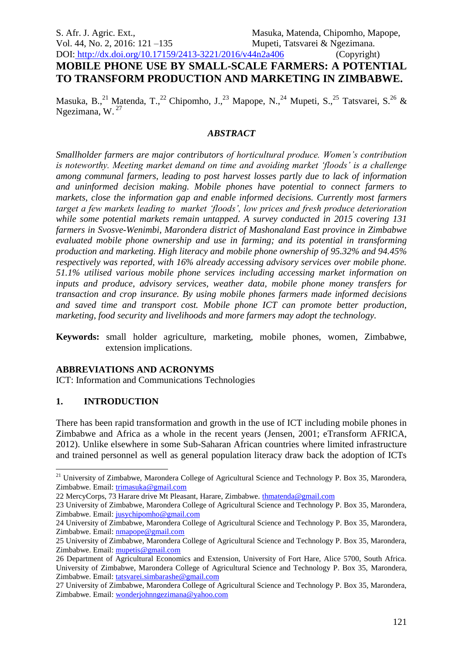# DOI: http://dx.doi.org/10.17159/2413-3221/2016/v44n2a406 (Copyright) **MOBILE PHONE USE BY SMALL-SCALE FARMERS: A POTENTIAL TO TRANSFORM PRODUCTION AND MARKETING IN ZIMBABWE.**

Masuka, B.,<sup>21</sup> Matenda, T.,<sup>22</sup> Chipomho, J.,<sup>23</sup> Mapope, N.,<sup>24</sup> Mupeti, S.,<sup>25</sup> Tatsvarei, S.<sup>26</sup> & Ngezimana, W. <sup>27</sup>

#### *ABSTRACT*

*Smallholder farmers are major contributors of horticultural produce. Women's contribution is noteworthy. Meeting market demand on time and avoiding market 'floods' is a challenge among communal farmers, leading to post harvest losses partly due to lack of information and uninformed decision making. Mobile phones have potential to connect farmers to markets, close the information gap and enable informed decisions. Currently most farmers target a few markets leading to market 'floods', low prices and fresh produce deterioration while some potential markets remain untapped. A survey conducted in 2015 covering 131 farmers in Svosve-Wenimbi, Marondera district of Mashonaland East province in Zimbabwe evaluated mobile phone ownership and use in farming; and its potential in transforming production and marketing. High literacy and mobile phone ownership of 95.32% and 94.45% respectively was reported, with 16% already accessing advisory services over mobile phone. 51.1% utilised various mobile phone services including accessing market information on inputs and produce, advisory services, weather data, mobile phone money transfers for transaction and crop insurance. By using mobile phones farmers made informed decisions and saved time and transport cost. Mobile phone ICT can promote better production, marketing, food security and livelihoods and more farmers may adopt the technology.*

**Keywords:** small holder agriculture, marketing, mobile phones, women, Zimbabwe, extension implications.

#### **ABBREVIATIONS AND ACRONYMS**

ICT: Information and Communications Technologies

## **1. INTRODUCTION**

1

There has been rapid transformation and growth in the use of ICT including mobile phones in Zimbabwe and Africa as a whole in the recent years (Jensen, 2001; eTransform AFRICA, 2012). Unlike elsewhere in some Sub-Saharan African countries where limited infrastructure and trained personnel as well as general population literacy draw back the adoption of ICTs

<sup>&</sup>lt;sup>21</sup> University of Zimbabwe, Marondera College of Agricultural Science and Technology P. Box 35, Marondera, Zimbabwe. Email: [trimasuka@gmail.com](mailto:trimasuka@gmail.com)

<sup>22</sup> MercyCorps, 73 Harare drive Mt Pleasant, Harare, Zimbabwe. [thmatenda@gmail.com](mailto:thmatenda@gmail.com)

<sup>23</sup> University of Zimbabwe, Marondera College of Agricultural Science and Technology P. Box 35, Marondera, Zimbabwe. Email: [jusychipomho@gmail.com](mailto:jusychipomho@gmail.com)

<sup>24</sup> University of Zimbabwe, Marondera College of Agricultural Science and Technology P. Box 35, Marondera, Zimbabwe. Email: [nmapope@gmail.com](mailto:nmapope@gmail.com)

<sup>25</sup> University of Zimbabwe, Marondera College of Agricultural Science and Technology P. Box 35, Marondera, Zimbabwe. Email: [mupetis@gmail.com](mailto:mupetis@gmail.com)

<sup>26</sup> Department of Agricultural Economics and Extension, University of Fort Hare, Alice 5700, South Africa. University of Zimbabwe, Marondera College of Agricultural Science and Technology P. Box 35, Marondera, Zimbabwe. Email: [tatsvarei.simbarashe@gmail.com](mailto:tatsvarei.simbarashe@gmail.com)

<sup>27</sup> University of Zimbabwe, Marondera College of Agricultural Science and Technology P. Box 35, Marondera, Zimbabwe. Email: [wonderjohnngezimana@yahoo.com](mailto:wonderjohnngezimana@yahoo.com)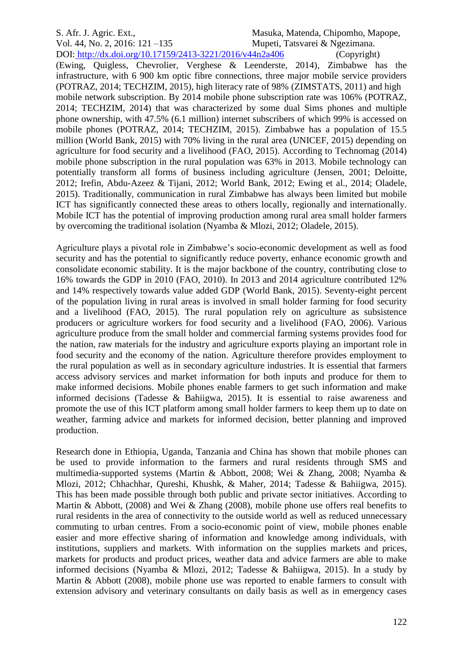#### S. Afr. J. Agric. Ext., Masuka, Matenda, Chipomho, Mapope, Vol. 44, No. 2, 2016: 121 –135 Mupeti, Tatsvarei & Ngezimana. DOI: http://dx.doi.org/10.17159/2413-3221/2016/v44n2a406 (Copyright)

(Ewing, Quigless, Chevrolier, Verghese & Leenderste, 2014), Zimbabwe has the infrastructure, with 6 900 km optic fibre connections, three major mobile service providers (POTRAZ, 2014; TECHZIM, 2015), high literacy rate of 98% (ZIMSTATS, 2011) and high mobile network subscription. By 2014 mobile phone subscription rate was 106% (POTRAZ, 2014; TECHZIM, 2014) that was characterized by some dual Sims phones and multiple phone ownership, with 47.5% (6.1 million) internet subscribers of which 99% is accessed on mobile phones (POTRAZ, 2014; TECHZIM, 2015). Zimbabwe has a population of 15.5 million (World Bank, 2015) with 70% living in the rural area (UNICEF, 2015) depending on agriculture for food security and a livelihood (FAO, 2015). According to Technomag (2014) mobile phone subscription in the rural population was 63% in 2013. Mobile technology can potentially transform all forms of business including agriculture (Jensen, 2001; Deloitte, 2012; Irefin, Abdu-Azeez & Tijani, 2012; World Bank, 2012; Ewing et al., 2014; Oladele, 2015). Traditionally, communication in rural Zimbabwe has always been limited but mobile ICT has significantly connected these areas to others locally, regionally and internationally. Mobile ICT has the potential of improving production among rural area small holder farmers by overcoming the traditional isolation (Nyamba & Mlozi, 2012; Oladele, 2015).

Agriculture plays a pivotal role in Zimbabwe's socio-economic development as well as food security and has the potential to significantly reduce poverty, enhance economic growth and consolidate economic stability. It is the major backbone of the country, contributing close to 16% towards the GDP in 2010 (FAO, 2010). In 2013 and 2014 agriculture contributed 12% and 14% respectively towards value added GDP (World Bank, 2015). Seventy-eight percent of the population living in rural areas is involved in small holder farming for food security and a livelihood (FAO, 2015). The rural population rely on agriculture as subsistence producers or agriculture workers for food security and a livelihood (FAO, 2006). Various agriculture produce from the small holder and commercial farming systems provides food for the nation, raw materials for the industry and agriculture exports playing an important role in food security and the economy of the nation. Agriculture therefore provides employment to the rural population as well as in secondary agriculture industries. It is essential that farmers access advisory services and market information for both inputs and produce for them to make informed decisions. Mobile phones enable farmers to get such information and make informed decisions (Tadesse & Bahiigwa, 2015). It is essential to raise awareness and promote the use of this ICT platform among small holder farmers to keep them up to date on weather, farming advice and markets for informed decision, better planning and improved production.

Research done in Ethiopia, Uganda, Tanzania and China has shown that mobile phones can be used to provide information to the farmers and rural residents through SMS and multimedia-supported systems (Martin & Abbott, 2008; Wei & Zhang, 2008; Nyamba & Mlozi, 2012; Chhachhar, Qureshi, Khushk, & Maher, 2014; Tadesse & Bahiigwa, 2015). This has been made possible through both public and private sector initiatives. According to Martin & Abbott, (2008) and Wei & Zhang (2008), mobile phone use offers real benefits to rural residents in the area of connectivity to the outside world as well as reduced unnecessary commuting to urban centres. From a socio-economic point of view, mobile phones enable easier and more effective sharing of information and knowledge among individuals, with institutions, suppliers and markets. With information on the supplies markets and prices, markets for products and product prices, weather data and advice farmers are able to make informed decisions (Nyamba & Mlozi, 2012; Tadesse & Bahiigwa, 2015). In a study by Martin & Abbott (2008), mobile phone use was reported to enable farmers to consult with extension advisory and veterinary consultants on daily basis as well as in emergency cases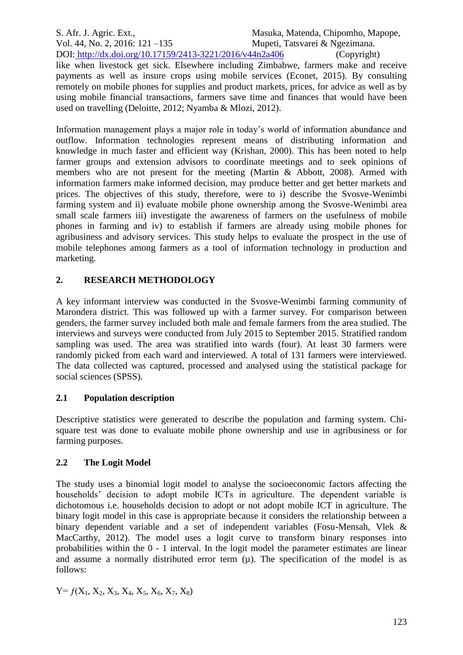S. Afr. J. Agric. Ext., Masuka, Matenda, Chipomho, Mapope, Vol. 44, No. 2, 2016: 121 –135 Mupeti, Tatsvarei & Ngezimana. DOI: http://dx.doi.org/10.17159/2413-3221/2016/v44n2a406 (Copyright) like when livestock get sick. Elsewhere including Zimbabwe, farmers make and receive payments as well as insure crops using mobile services (Econet, 2015). By consulting remotely on mobile phones for supplies and product markets, prices, for advice as well as by using mobile financial transactions, farmers save time and finances that would have been used on travelling (Deloitte, 2012; Nyamba & Mlozi, 2012).

Information management plays a major role in today's world of information abundance and outflow. Information technologies represent means of distributing information and knowledge in much faster and efficient way (Krishan, 2000). This has been noted to help farmer groups and extension advisors to coordinate meetings and to seek opinions of members who are not present for the meeting (Martin & Abbott, 2008). Armed with information farmers make informed decision, may produce better and get better markets and prices. The objectives of this study, therefore, were to i) describe the Svosve-Wenimbi farming system and ii) evaluate mobile phone ownership among the Svosve-Wenimbi area small scale farmers iii) investigate the awareness of farmers on the usefulness of mobile phones in farming and iv) to establish if farmers are already using mobile phones for agribusiness and advisory services. This study helps to evaluate the prospect in the use of mobile telephones among farmers as a tool of information technology in production and marketing.

# **2. RESEARCH METHODOLOGY**

A key informant interview was conducted in the Svosve-Wenimbi farming community of Marondera district. This was followed up with a farmer survey. For comparison between genders, the farmer survey included both male and female farmers from the area studied. The interviews and surveys were conducted from July 2015 to September 2015. Stratified random sampling was used. The area was stratified into wards (four). At least 30 farmers were randomly picked from each ward and interviewed. A total of 131 farmers were interviewed. The data collected was captured, processed and analysed using the statistical package for social sciences (SPSS).

# **2.1 Population description**

Descriptive statistics were generated to describe the population and farming system. Chisquare test was done to evaluate mobile phone ownership and use in agribusiness or for farming purposes.

# **2.2 The Logit Model**

The study uses a binomial logit model to analyse the socioeconomic factors affecting the households' decision to adopt mobile ICTs in agriculture. The dependent variable is dichotomous i.e. households decision to adopt or not adopt mobile ICT in agriculture. The binary logit model in this case is appropriate because it considers the relationship between a binary dependent variable and a set of independent variables (Fosu-Mensah, Vlek & MacCarthy, 2012). The model uses a logit curve to transform binary responses into probabilities within the 0 - 1 interval. In the logit model the parameter estimates are linear and assume a normally distributed error term  $(\mu)$ . The specification of the model is as follows:

 $Y = f(X_1, X_2, X_3, X_4, X_5, X_6, X_7, X_8)$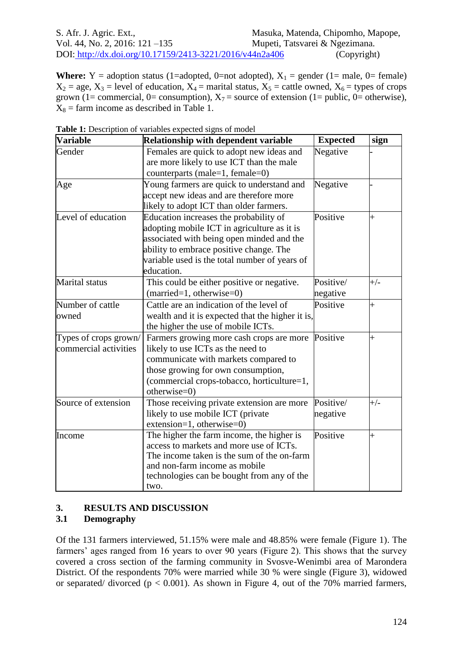**Where:**  $Y =$  adoption status (1=adopted, 0=not adopted),  $X_1 =$  gender (1= male, 0= female)  $X_2$  = age,  $X_3$  = level of education,  $X_4$  = marital status,  $X_5$  = cattle owned,  $X_6$  = types of crops grown (1= commercial, 0= consumption),  $X_7$  = source of extension (1= public, 0= otherwise),  $X_8$  = farm income as described in Table 1.

| <b>Variable</b>       | <b>Relationship with dependent variable</b>      | <b>Expected</b> | sign           |
|-----------------------|--------------------------------------------------|-----------------|----------------|
| Gender                | Females are quick to adopt new ideas and         | Negative        |                |
|                       | are more likely to use ICT than the male         |                 |                |
|                       | counterparts (male=1, female=0)                  |                 |                |
| Age                   | Young farmers are quick to understand and        | Negative        |                |
|                       | accept new ideas and are therefore more          |                 |                |
|                       | likely to adopt ICT than older farmers.          |                 |                |
| Level of education    | Education increases the probability of           | Positive        | $\overline{+}$ |
|                       | adopting mobile ICT in agriculture as it is      |                 |                |
|                       | associated with being open minded and the        |                 |                |
|                       | ability to embrace positive change. The          |                 |                |
|                       | variable used is the total number of years of    |                 |                |
|                       | education.                                       |                 |                |
| Marital status        | This could be either positive or negative.       | Positive/       | $+/-$          |
|                       | $(married=1, otherwise=0)$                       | negative        |                |
| Number of cattle      | Cattle are an indication of the level of         | Positive        | $\overline{+}$ |
| owned                 | wealth and it is expected that the higher it is, |                 |                |
|                       | the higher the use of mobile ICTs.               |                 |                |
| Types of crops grown/ | Farmers growing more cash crops are more         | Positive        | $\ddag$        |
| commercial activities | likely to use ICTs as the need to                |                 |                |
|                       | communicate with markets compared to             |                 |                |
|                       | those growing for own consumption,               |                 |                |
|                       | (commercial crops-tobacco, horticulture=1,       |                 |                |
|                       | otherwise=0)                                     |                 |                |
| Source of extension   | Those receiving private extension are more       | Positive/       | $+/-$          |
|                       | likely to use mobile ICT (private                | negative        |                |
|                       | $extension=1, otherwise=0)$                      |                 |                |
| Income                | The higher the farm income, the higher is        | Positive        | $\overline{+}$ |
|                       | access to markets and more use of ICTs.          |                 |                |
|                       | The income taken is the sum of the on-farm       |                 |                |
|                       | and non-farm income as mobile                    |                 |                |
|                       | technologies can be bought from any of the       |                 |                |
|                       | two.                                             |                 |                |

**Table 1:** Description of variables expected signs of model

## **3. RESULTS AND DISCUSSION**

## **3.1 Demography**

Of the 131 farmers interviewed, 51.15% were male and 48.85% were female (Figure 1). The farmers' ages ranged from 16 years to over 90 years (Figure 2). This shows that the survey covered a cross section of the farming community in Svosve-Wenimbi area of Marondera District. Of the respondents 70% were married while 30 % were single (Figure 3), widowed or separated/ divorced ( $p < 0.001$ ). As shown in Figure 4, out of the 70% married farmers,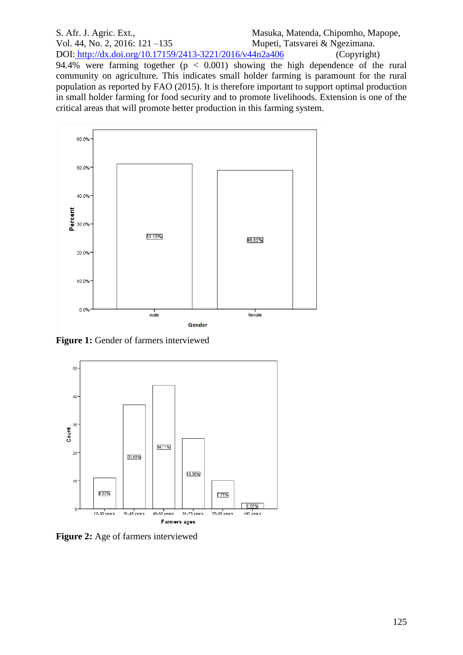#### S. Afr. J. Agric. Ext., Masuka, Matenda, Chipomho, Mapope, Vol. 44, No. 2, 2016: 121 –135 Mupeti, Tatsvarei & Ngezimana. DOI: http://dx.doi.org/10.17159/2413-3221/2016/v44n2a406 (Copyright) 94.4% were farming together  $(p < 0.001)$  showing the high dependence of the rural community on agriculture. This indicates small holder farming is paramount for the rural population as reported by FAO (2015). It is therefore important to support optimal production in small holder farming for food security and to promote livelihoods. Extension is one of the critical areas that will promote better production in this farming system.



**Figure 1:** Gender of farmers interviewed



**Figure 2:** Age of farmers interviewed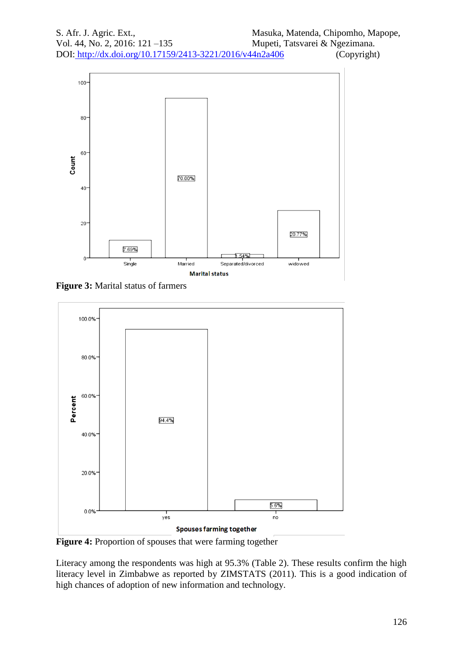

**Figure 3:** Marital status of farmers



**Figure 4:** Proportion of spouses that were farming together

Literacy among the respondents was high at 95.3% (Table 2). These results confirm the high literacy level in Zimbabwe as reported by ZIMSTATS (2011). This is a good indication of high chances of adoption of new information and technology.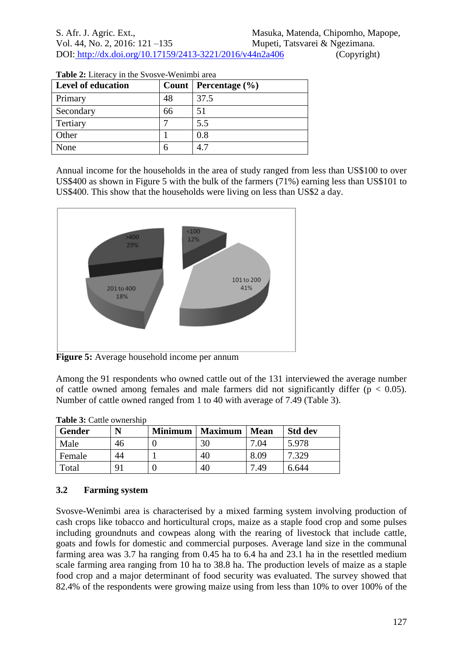| <b>Level of education</b> |    | Count   Percentage $(\% )$ |
|---------------------------|----|----------------------------|
| Primary                   | 48 | 37.5                       |
| Secondary                 | 66 | 51                         |
| Tertiary                  |    | 5.5                        |
| Other                     |    | 0.8                        |
| None                      |    | 47                         |

| Table 2: Literacy in the Svosve-Wenimbi area |
|----------------------------------------------|
|----------------------------------------------|

Annual income for the households in the area of study ranged from less than US\$100 to over US\$400 as shown in Figure 5 with the bulk of the farmers (71%) earning less than US\$101 to US\$400. This show that the households were living on less than US\$2 a day.



**Figure 5:** Average household income per annum

Among the 91 respondents who owned cattle out of the 131 interviewed the average number of cattle owned among females and male farmers did not significantly differ ( $p < 0.05$ ). Number of cattle owned ranged from 1 to 40 with average of 7.49 (Table 3).

| <b>Gender</b> | N              | <b>Minimum</b> | <b>Maximum</b> | Mean | <b>Std dev</b> |
|---------------|----------------|----------------|----------------|------|----------------|
| Male          | 46             |                | 30             | 7.04 | 5.978          |
| Female        | 44             |                | 40             | 8.09 | 7.329          |
| Total         | Q <sub>1</sub> |                | 40             | 7.49 | 6.644          |

**Table 3:** Cattle ownership

# **3.2 Farming system**

Svosve-Wenimbi area is characterised by a mixed farming system involving production of cash crops like tobacco and horticultural crops, maize as a staple food crop and some pulses including groundnuts and cowpeas along with the rearing of livestock that include cattle, goats and fowls for domestic and commercial purposes. Average land size in the communal farming area was 3.7 ha ranging from 0.45 ha to 6.4 ha and 23.1 ha in the resettled medium scale farming area ranging from 10 ha to 38.8 ha. The production levels of maize as a staple food crop and a major determinant of food security was evaluated. The survey showed that 82.4% of the respondents were growing maize using from less than 10% to over 100% of the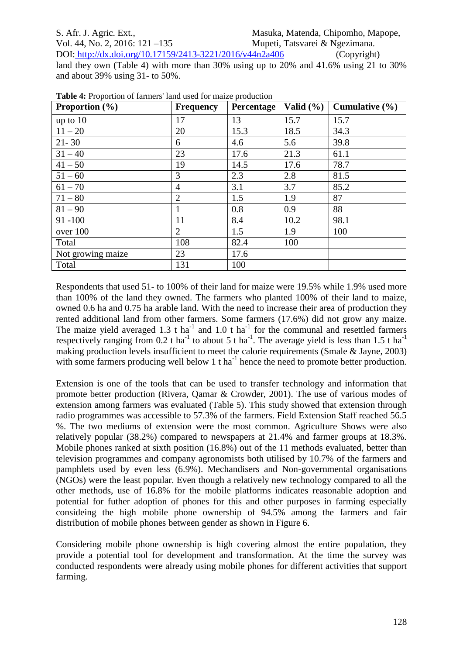## S. Afr. J. Agric. Ext., Masuka, Matenda, Chipomho, Mapope, Vol. 44, No. 2, 2016: 121 –135 Mupeti, Tatsvarei & Ngezimana. DOI: http://dx.doi.org/10.17159/2413-3221/2016/v44n2a406 (Copyright) land they own (Table 4) with more than 30% using up to 20% and 41.6% using 21 to 30% and about 39% using 31- to 50%.

| <b>Proportion</b> $(\% )$ | <b>Frequency</b> | Percentage | Valid $(\% )$ | Cumulative $(\% )$ |
|---------------------------|------------------|------------|---------------|--------------------|
| up to $10$                | 17               | 13         | 15.7          | 15.7               |
| $11 - 20$                 | 20               | 15.3       | 18.5          | 34.3               |
| $21 - 30$                 | 6                | 4.6        | 5.6           | 39.8               |
| $31 - 40$                 | 23               | 17.6       | 21.3          | 61.1               |
| $41 - 50$                 | 19               | 14.5       | 17.6          | 78.7               |
| $51 - 60$                 | 3                | 2.3        | 2.8           | 81.5               |
| $61 - 70$                 | $\overline{4}$   | 3.1        | 3.7           | 85.2               |
| $71 - 80$                 | $\overline{2}$   | 1.5        | 1.9           | 87                 |
| $81 - 90$                 | $\mathbf{1}$     | 0.8        | 0.9           | 88                 |
| $91 - 100$                | 11               | 8.4        | 10.2          | 98.1               |
| over 100                  | $\overline{2}$   | 1.5        | 1.9           | 100                |
| Total                     | 108              | 82.4       | 100           |                    |
| Not growing maize         | 23               | 17.6       |               |                    |
| Total                     | 131              | 100        |               |                    |

**Table 4:** Proportion of farmers' land used for maize production

Respondents that used 51- to 100% of their land for maize were 19.5% while 1.9% used more than 100% of the land they owned. The farmers who planted 100% of their land to maize, owned 0.6 ha and 0.75 ha arable land. With the need to increase their area of production they rented additional land from other farmers. Some farmers (17.6%) did not grow any maize. The maize yield averaged 1.3 t ha<sup>-1</sup> and 1.0 t ha<sup>-1</sup> for the communal and resettled farmers respectively ranging from 0.2 t ha<sup>-1</sup> to about 5 t ha<sup>-1</sup>. The average yield is less than 1.5 t ha<sup>-1</sup> making production levels insufficient to meet the calorie requirements (Smale & Jayne, 2003) with some farmers producing well below  $1$  t ha<sup>-1</sup> hence the need to promote better production.

Extension is one of the tools that can be used to transfer technology and information that promote better production (Rivera, Qamar & Crowder, 2001). The use of various modes of extension among farmers was evaluated (Table 5). This study showed that extension through radio programmes was accessible to 57.3% of the farmers. Field Extension Staff reached 56.5 %. The two mediums of extension were the most common. Agriculture Shows were also relatively popular (38.2%) compared to newspapers at 21.4% and farmer groups at 18.3%. Mobile phones ranked at sixth position (16.8%) out of the 11 methods evaluated, better than television programmes and company agronomists both utilised by 10.7% of the farmers and pamphlets used by even less (6.9%). Mechandisers and Non-governmental organisations (NGOs) were the least popular. Even though a relatively new technology compared to all the other methods, use of 16.8% for the mobile platforms indicates reasonable adoption and potential for futher adoption of phones for this and other purposes in farming especially consideing the high mobile phone ownership of 94.5% among the farmers and fair distribution of mobile phones between gender as shown in Figure 6.

Considering mobile phone ownership is high covering almost the entire population, they provide a potential tool for development and transformation. At the time the survey was conducted respondents were already using mobile phones for different activities that support farming.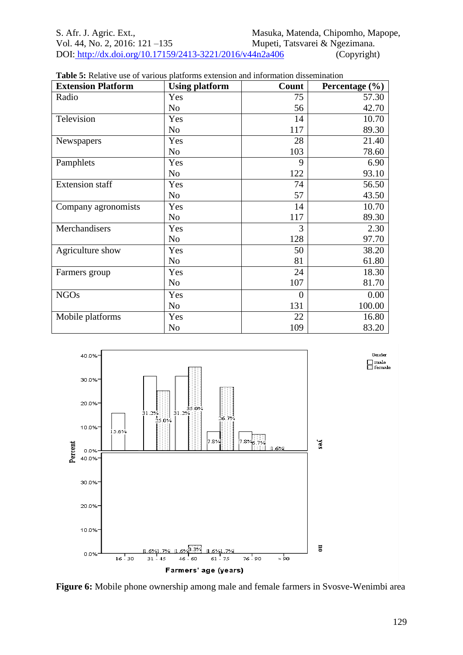| <b>Extension Platform</b> | <b>Using platform</b> | Count          | Percentage $(\% )$ |
|---------------------------|-----------------------|----------------|--------------------|
| Radio                     | Yes                   | 75             | 57.30              |
|                           | N <sub>o</sub>        | 56             | 42.70              |
| Television                | Yes                   | 14             | 10.70              |
|                           | N <sub>o</sub>        | 117            | 89.30              |
| Newspapers                | Yes                   | 28             | 21.40              |
|                           | N <sub>o</sub>        | 103            | 78.60              |
| Pamphlets                 | Yes                   | 9              | 6.90               |
|                           | N <sub>o</sub>        | 122            | 93.10              |
| <b>Extension staff</b>    | Yes                   | 74             | 56.50              |
|                           | N <sub>o</sub>        | 57             | 43.50              |
| Company agronomists       | Yes                   | 14             | 10.70              |
|                           | N <sub>o</sub>        | 117            | 89.30              |
| Merchandisers             | Yes                   | 3              | 2.30               |
|                           | N <sub>o</sub>        | 128            | 97.70              |
| Agriculture show          | Yes                   | 50             | 38.20              |
|                           | N <sub>o</sub>        | 81             | 61.80              |
| Farmers group             | Yes                   | 24             | 18.30              |
|                           | N <sub>o</sub>        | 107            | 81.70              |
| <b>NGOs</b>               | Yes                   | $\overline{0}$ | 0.00               |
|                           | N <sub>o</sub>        | 131            | 100.00             |
| Mobile platforms          | Yes                   | 22             | 16.80              |
|                           | N <sub>o</sub>        | 109            | 83.20              |

| <b>Table 5:</b> Relative use of various platforms extension and information dissemination |  |  |  |
|-------------------------------------------------------------------------------------------|--|--|--|
|-------------------------------------------------------------------------------------------|--|--|--|



**Figure 6:** Mobile phone ownership among male and female farmers in Svosve-Wenimbi area

 ${\tt Gender}$ 

 $\square$  male<br> $\square$  female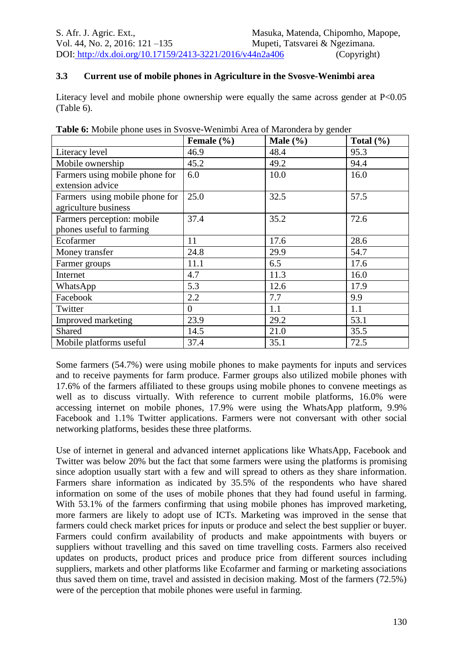## **3.3 Current use of mobile phones in Agriculture in the Svosve-Wenimbi area**

Literacy level and mobile phone ownership were equally the same across gender at P<0.05 (Table 6).

|                                | Female (%)     | Male $(\% )$ | Total $(\% )$ |
|--------------------------------|----------------|--------------|---------------|
| Literacy level                 | 46.9           | 48.4         | 95.3          |
| Mobile ownership               | 45.2           | 49.2         | 94.4          |
| Farmers using mobile phone for | 6.0            | 10.0         | 16.0          |
| extension advice               |                |              |               |
| Farmers using mobile phone for | 25.0           | 32.5         | 57.5          |
| agriculture business           |                |              |               |
| Farmers perception: mobile     | 37.4           | 35.2         | 72.6          |
| phones useful to farming       |                |              |               |
| Ecofarmer                      | 11             | 17.6         | 28.6          |
| Money transfer                 | 24.8           | 29.9         | 54.7          |
| Farmer groups                  | 11.1           | 6.5          | 17.6          |
| Internet                       | 4.7            | 11.3         | 16.0          |
| WhatsApp                       | 5.3            | 12.6         | 17.9          |
| Facebook                       | 2.2            | 7.7          | 9.9           |
| Twitter                        | $\overline{0}$ | 1.1          | 1.1           |
| Improved marketing             | 23.9           | 29.2         | 53.1          |
| Shared                         | 14.5           | 21.0         | 35.5          |
| Mobile platforms useful        | 37.4           | 35.1         | 72.5          |

**Table 6:** Mobile phone uses in Svosve-Wenimbi Area of Marondera by gender

Some farmers (54.7%) were using mobile phones to make payments for inputs and services and to receive payments for farm produce. Farmer groups also utilized mobile phones with 17.6% of the farmers affiliated to these groups using mobile phones to convene meetings as well as to discuss virtually. With reference to current mobile platforms, 16.0% were accessing internet on mobile phones, 17.9% were using the WhatsApp platform, 9.9% Facebook and 1.1% Twitter applications. Farmers were not conversant with other social networking platforms, besides these three platforms.

Use of internet in general and advanced internet applications like WhatsApp, Facebook and Twitter was below 20% but the fact that some farmers were using the platforms is promising since adoption usually start with a few and will spread to others as they share information. Farmers share information as indicated by 35.5% of the respondents who have shared information on some of the uses of mobile phones that they had found useful in farming. With 53.1% of the farmers confirming that using mobile phones has improved marketing, more farmers are likely to adopt use of ICTs. Marketing was improved in the sense that farmers could check market prices for inputs or produce and select the best supplier or buyer. Farmers could confirm availability of products and make appointments with buyers or suppliers without travelling and this saved on time travelling costs. Farmers also received updates on products, product prices and produce price from different sources including suppliers, markets and other platforms like Ecofarmer and farming or marketing associations thus saved them on time, travel and assisted in decision making. Most of the farmers (72.5%) were of the perception that mobile phones were useful in farming.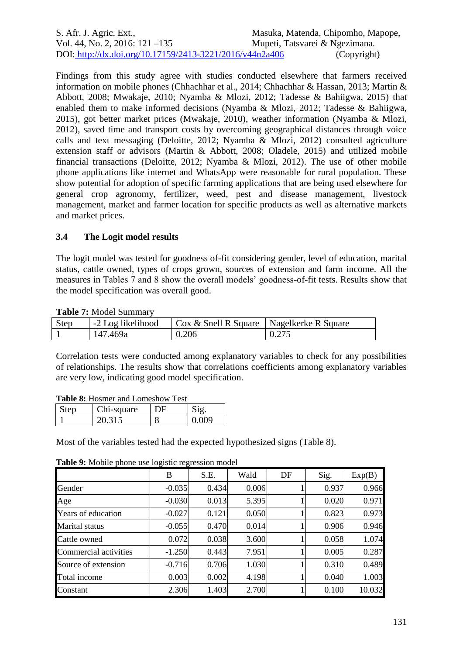| S. Afr. J. Agric. Ext.,                                  | Masuka, Matenda, Chipomho, Mapope, |
|----------------------------------------------------------|------------------------------------|
| Vol. 44, No. 2, 2016: $121 - 135$                        | Mupeti, Tatsvarei & Ngezimana.     |
| DOI: http://dx.doi.org/10.17159/2413-3221/2016/v44n2a406 | (Copyright)                        |

Findings from this study agree with studies conducted elsewhere that farmers received information on mobile phones (Chhachhar et al., 2014; Chhachhar & Hassan, 2013; Martin & Abbott, 2008; Mwakaje, 2010; Nyamba & Mlozi, 2012; Tadesse & Bahiigwa, 2015) that enabled them to make informed decisions (Nyamba & Mlozi, 2012; Tadesse & Bahiigwa, 2015), got better market prices (Mwakaje, 2010), weather information (Nyamba & Mlozi, 2012), saved time and transport costs by overcoming geographical distances through voice calls and text messaging (Deloitte, 2012; Nyamba & Mlozi, 2012) consulted agriculture extension staff or advisors (Martin & Abbott, 2008; Oladele, 2015) and utilized mobile financial transactions (Deloitte, 2012; Nyamba & Mlozi, 2012). The use of other mobile phone applications like internet and WhatsApp were reasonable for rural population. These show potential for adoption of specific farming applications that are being used elsewhere for general crop agronomy, fertilizer, weed, pest and disease management, livestock management, market and farmer location for specific products as well as alternative markets and market prices.

## **3.4 The Logit model results**

The logit model was tested for goodness of-fit considering gender, level of education, marital status, cattle owned, types of crops grown, sources of extension and farm income. All the measures in Tables 7 and 8 show the overall models' goodness-of-fit tests. Results show that the model specification was overall good.

| Step | -2 Log likelihood | Cox & Snell R Square   Nagelkerke R Square |       |
|------|-------------------|--------------------------------------------|-------|
|      | 147.469a          | 0.206                                      | 0.275 |

Correlation tests were conducted among explanatory variables to check for any possibilities of relationships. The results show that correlations coefficients among explanatory variables are very low, indicating good model specification.

| <b>Table 8:</b> Hosmer and Lomeshow Test |            |    |       |  |
|------------------------------------------|------------|----|-------|--|
| Step                                     | Chi-square | DF | Sig.  |  |
|                                          | 20.315     |    | 0.009 |  |

Most of the variables tested had the expected hypothesized signs (Table 8).

**Table 9:** Mobile phone use logistic regression model

|                       | B        | S.E.  | Wald  | DF | Sig.  | Exp(B) |
|-----------------------|----------|-------|-------|----|-------|--------|
| Gender                | $-0.035$ | 0.434 | 0.006 |    | 0.937 | 0.966  |
| Age                   | $-0.030$ | 0.013 | 5.395 |    | 0.020 | 0.971  |
| Years of education    | $-0.027$ | 0.121 | 0.050 |    | 0.823 | 0.973  |
| <b>Marital</b> status | $-0.055$ | 0.470 | 0.014 |    | 0.906 | 0.946  |
| Cattle owned          | 0.072    | 0.038 | 3.600 |    | 0.058 | 1.074  |
| Commercial activities | $-1.250$ | 0.443 | 7.951 |    | 0.005 | 0.287  |
| Source of extension   | $-0.716$ | 0.706 | 1.030 |    | 0.310 | 0.489  |
| Total income          | 0.003    | 0.002 | 4.198 |    | 0.040 | 1.003  |
| Constant              | 2.306    | 1.403 | 2.700 |    | 0.100 | 10.032 |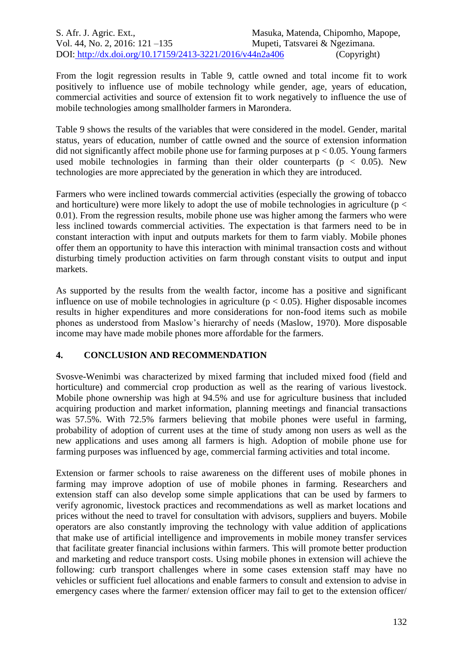From the logit regression results in Table 9, cattle owned and total income fit to work positively to influence use of mobile technology while gender, age, years of education, commercial activities and source of extension fit to work negatively to influence the use of mobile technologies among smallholder farmers in Marondera.

Table 9 shows the results of the variables that were considered in the model. Gender, marital status, years of education, number of cattle owned and the source of extension information did not significantly affect mobile phone use for farming purposes at  $p < 0.05$ . Young farmers used mobile technologies in farming than their older counterparts ( $p < 0.05$ ). New technologies are more appreciated by the generation in which they are introduced.

Farmers who were inclined towards commercial activities (especially the growing of tobacco and horticulture) were more likely to adopt the use of mobile technologies in agriculture ( $p <$ 0.01). From the regression results, mobile phone use was higher among the farmers who were less inclined towards commercial activities. The expectation is that farmers need to be in constant interaction with input and outputs markets for them to farm viably. Mobile phones offer them an opportunity to have this interaction with minimal transaction costs and without disturbing timely production activities on farm through constant visits to output and input markets.

As supported by the results from the wealth factor, income has a positive and significant influence on use of mobile technologies in agriculture ( $p < 0.05$ ). Higher disposable incomes results in higher expenditures and more considerations for non-food items such as mobile phones as understood from Maslow's hierarchy of needs (Maslow, 1970). More disposable income may have made mobile phones more affordable for the farmers.

## **4. CONCLUSION AND RECOMMENDATION**

Svosve-Wenimbi was characterized by mixed farming that included mixed food (field and horticulture) and commercial crop production as well as the rearing of various livestock. Mobile phone ownership was high at 94.5% and use for agriculture business that included acquiring production and market information, planning meetings and financial transactions was 57.5%. With 72.5% farmers believing that mobile phones were useful in farming, probability of adoption of current uses at the time of study among non users as well as the new applications and uses among all farmers is high. Adoption of mobile phone use for farming purposes was influenced by age, commercial farming activities and total income.

Extension or farmer schools to raise awareness on the different uses of mobile phones in farming may improve adoption of use of mobile phones in farming. Researchers and extension staff can also develop some simple applications that can be used by farmers to verify agronomic, livestock practices and recommendations as well as market locations and prices without the need to travel for consultation with advisors, suppliers and buyers. Mobile operators are also constantly improving the technology with value addition of applications that make use of artificial intelligence and improvements in mobile money transfer services that facilitate greater financial inclusions within farmers. This will promote better production and marketing and reduce transport costs. Using mobile phones in extension will achieve the following: curb transport challenges where in some cases extension staff may have no vehicles or sufficient fuel allocations and enable farmers to consult and extension to advise in emergency cases where the farmer/ extension officer may fail to get to the extension officer/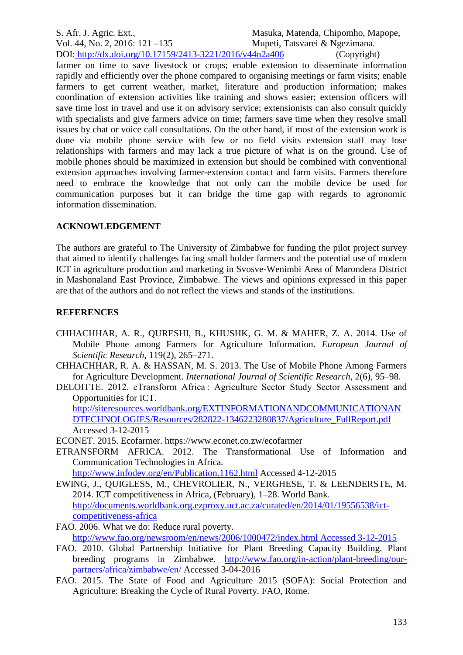S. Afr. J. Agric. Ext., Masuka, Matenda, Chipomho, Mapope, Vol. 44, No. 2, 2016: 121 –135 Mupeti, Tatsvarei & Ngezimana. DOI: http://dx.doi.org/10.17159/2413-3221/2016/v44n2a406 (Copyright)

farmer on time to save livestock or crops; enable extension to disseminate information rapidly and efficiently over the phone compared to organising meetings or farm visits; enable farmers to get current weather, market, literature and production information; makes coordination of extension activities like training and shows easier; extension officers will save time lost in travel and use it on advisory service; extensionists can also consult quickly with specialists and give farmers advice on time; farmers save time when they resolve small issues by chat or voice call consultations. On the other hand, if most of the extension work is done via mobile phone service with few or no field visits extension staff may lose relationships with farmers and may lack a true picture of what is on the ground. Use of mobile phones should be maximized in extension but should be combined with conventional extension approaches involving farmer-extension contact and farm visits. Farmers therefore need to embrace the knowledge that not only can the mobile device be used for communication purposes but it can bridge the time gap with regards to agronomic information dissemination.

#### **ACKNOWLEDGEMENT**

The authors are grateful to The University of Zimbabwe for funding the pilot project survey that aimed to identify challenges facing small holder farmers and the potential use of modern ICT in agriculture production and marketing in Svosve-Wenimbi Area of Marondera District in Mashonaland East Province, Zimbabwe. The views and opinions expressed in this paper are that of the authors and do not reflect the views and stands of the institutions.

#### **REFERENCES**

- CHHACHHAR, A. R., QURESHI, B., KHUSHK, G. M. & MAHER, Z. A. 2014. Use of Mobile Phone among Farmers for Agriculture Information. *European Journal of Scientific Research*, 119(2), 265–271.
- CHHACHHAR, R. A. & HASSAN, M. S. 2013. The Use of Mobile Phone Among Farmers for Agriculture Development. *International Journal of Scientific Research*, 2(6), 95–98.
- DELOITTE. 2012. eTransform Africa : Agriculture Sector Study Sector Assessment and Opportunities for ICT. [http://siteresources.worldbank.org/EXTINFORMATIONANDCOMMUNICATIONAN](http://siteresources.worldbank.org/EXTINFORMATIONANDCOMMUNICATIONANDTECHNOLOGIES/Resources/282822-1346223280837/Agriculture_FullReport.pdf)

[DTECHNOLOGIES/Resources/282822-1346223280837/Agriculture\\_FullReport.pdf](http://siteresources.worldbank.org/EXTINFORMATIONANDCOMMUNICATIONANDTECHNOLOGIES/Resources/282822-1346223280837/Agriculture_FullReport.pdf) Accessed 3-12-2015

ECONET. 2015. Ecofarmer. https://www.econet.co.zw/ecofarmer

ETRANSFORM AFRICA. 2012. The Transformational Use of Information and Communication Technologies in Africa.

<http://www.infodev.org/en/Publication.1162.html> Accessed 4-12-2015

- EWING, J., QUIGLESS, M., CHEVROLIER, N., VERGHESE, T. & LEENDERSTE, M. 2014. ICT competitiveness in Africa, (February), 1–28. World Bank. [http://documents.worldbank.org.ezproxy.uct.ac.za/curated/en/2014/01/19556538/ict](http://documents.worldbank.org.ezproxy.uct.ac.za/curated/en/2014/01/19556538/ict-competitiveness-africa)[competitiveness-africa](http://documents.worldbank.org.ezproxy.uct.ac.za/curated/en/2014/01/19556538/ict-competitiveness-africa)
- FAO. 2006. What we do: Reduce rural poverty. [http://www.fao.org/newsroom/en/news/2006/1000472/index.html Accessed 3-12-2015](http://www.fao.org/newsroom/en/news/2006/1000472/index.html%20Accessed%203-12-2015)
- FAO. 2010. Global Partnership Initiative for Plant Breeding Capacity Building. Plant breeding programs in Zimbabwe. [http://www.fao.org/in-action/plant-breeding/our](http://www.fao.org/in-action/plant-breeding/our-partners/africa/zimbabwe/en/)[partners/africa/zimbabwe/en/](http://www.fao.org/in-action/plant-breeding/our-partners/africa/zimbabwe/en/) Accessed 3-04-2016
- FAO. 2015. The State of Food and Agriculture 2015 (SOFA): Social Protection and Agriculture: Breaking the Cycle of Rural Poverty. FAO, Rome.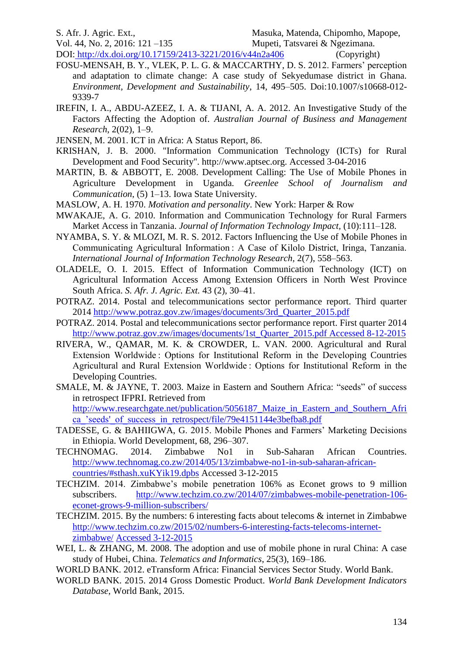Vol. 44, No. 2, 2016: 121 –135 Mupeti, Tatsvarei & Ngezimana.

DOI: http://dx.doi.org/10.17159/2413-3221/2016/v44n2a406 (Copyright)

- FOSU-MENSAH, B. Y., VLEK, P. L. G. & MACCARTHY, D. S. 2012. Farmers' perception and adaptation to climate change: A case study of Sekyedumase district in Ghana. *Environment, Development and Sustainability*, 14, 495–505. Doi:10.1007/s10668-012- 9339-7
- IREFIN, I. A., ABDU-AZEEZ, I. A. & TIJANI, A. A. 2012. An Investigative Study of the Factors Affecting the Adoption of. *Australian Journal of Business and Management Research*, 2(02), 1–9.
- JENSEN, M. 2001. ICT in Africa: A Status Report, 86.
- KRISHAN, J. B. 2000. "Information Communication Technology (ICTs) for Rural Development and Food Security". http://www.aptsec.org. Accessed 3-04-2016
- MARTIN, B. & ABBOTT, E. 2008. Development Calling: The Use of Mobile Phones in Agriculture Development in Uganda. *Greenlee School of Journalism and Communication*, (5) 1–13. Iowa State University.
- MASLOW, A. H. 1970. *Motivation and personality*. New York: Harper & Row
- MWAKAJE, A. G. 2010. Information and Communication Technology for Rural Farmers Market Access in Tanzania. *Journal of Information Technology Impact,* (10):111–128.
- NYAMBA, S. Y. & MLOZI, M. R. S. 2012. Factors Influencing the Use of Mobile Phones in Communicating Agricultural Information : A Case of Kilolo District, Iringa, Tanzania. *International Journal of Information Technology Research,* 2(7), 558–563.
- OLADELE, O. I. 2015. Effect of Information Communication Technology (ICT) on Agricultural Information Access Among Extension Officers in North West Province South Africa. *S. Afr. J. Agric. Ext.* 43 (2), 30–41.
- POTRAZ. 2014. Postal and telecommunications sector performance report. Third quarter 2014 [http://www.potraz.gov.zw/images/documents/3rd\\_Quarter\\_2015.pdf](http://www.potraz.gov.zw/images/documents/3rd_Quarter_2015.pdf)
- POTRAZ. 2014. Postal and telecommunications sector performance report. First quarter 2014 [http://www.potraz.gov.zw/images/documents/1st\\_Quarter\\_2015.pdf Accessed 8-12-2015](http://www.potraz.gov.zw/images/documents/1st_Quarter_2015.pdf%20Accessed%208-12-2015)
- RIVERA, W., QAMAR, M. K. & CROWDER, L. VAN. 2000. Agricultural and Rural Extension Worldwide : Options for Institutional Reform in the Developing Countries Agricultural and Rural Extension Worldwide : Options for Institutional Reform in the Developing Countries.
- SMALE, M. & JAYNE, T. 2003. Maize in Eastern and Southern Africa: "seeds" of success in retrospect IFPRI. Retrieved from [http://www.researchgate.net/publication/5056187\\_Maize\\_in\\_Eastern\\_and\\_Southern\\_Afri](http://www.researchgate.net/publication/5056187_Maize_in_Eastern_and_Southern_Africa_) ca 'seeds' of success in retrospect/file/79e4151144e3befba8.pdf
- TADESSE, G. & BAHIIGWA, G. 2015. Mobile Phones and Farmers' Marketing Decisions in Ethiopia. World Development, 68, 296–307.
- TECHNOMAG. 2014. Zimbabwe No1 in Sub-Saharan African Countries. [http://www.technomag.co.zw/2014/05/13/zimbabwe-no1-in-sub-saharan-african](http://www.technomag.co.zw/2014/05/13/zimbabwe-no1-in-sub-saharan-african-countries/#sthash.xuKYik19.dpbs)[countries/#sthash.xuKYik19.dpbs](http://www.technomag.co.zw/2014/05/13/zimbabwe-no1-in-sub-saharan-african-countries/#sthash.xuKYik19.dpbs) Accessed 3-12-2015
- TECHZIM. 2014. Zimbabwe's mobile penetration 106% as Econet grows to 9 million subscribers. [http://www.techzim.co.zw/2014/07/zimbabwes-mobile-penetration-106](http://www.techzim.co.zw/2014/07/zimbabwes-mobile-penetration-106-econet-grows-9-million-subscribers/) [econet-grows-9-million-subscribers/](http://www.techzim.co.zw/2014/07/zimbabwes-mobile-penetration-106-econet-grows-9-million-subscribers/)
- TECHZIM. 2015. By the numbers: 6 interesting facts about telecoms & internet in Zimbabwe [http://www.techzim.co.zw/2015/02/numbers-6-interesting-facts-telecoms-internet](http://www.techzim.co.zw/2015/02/numbers-6-interesting-facts-telecoms-internet-zimbabwe/)[zimbabwe/](http://www.techzim.co.zw/2015/02/numbers-6-interesting-facts-telecoms-internet-zimbabwe/) Accessed 3-12-2015
- WEI, L. & ZHANG, M. 2008. The adoption and use of mobile phone in rural China: A case study of Hubei, China. *Telematics and Informatics*, 25(3), 169–186.
- WORLD BANK. 2012. eTransform Africa: Financial Services Sector Study. World Bank.
- WORLD BANK. 2015. 2014 Gross Domestic Product. *World Bank Development Indicators Database*, World Bank, 2015.